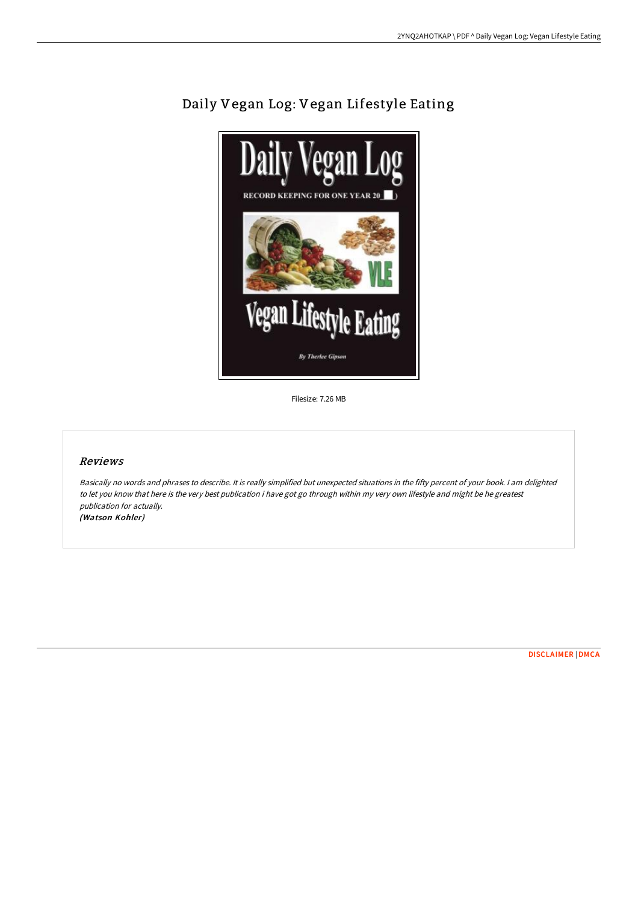

Daily Vegan Log: Vegan Lifestyle Eating

Filesize: 7.26 MB

## Reviews

Basically no words and phrases to describe. It is really simplified but unexpected situations in the fifty percent of your book. <sup>I</sup> am delighted to let you know that here is the very best publication i have got go through within my very own lifestyle and might be he greatest publication for actually. (Watson Kohler)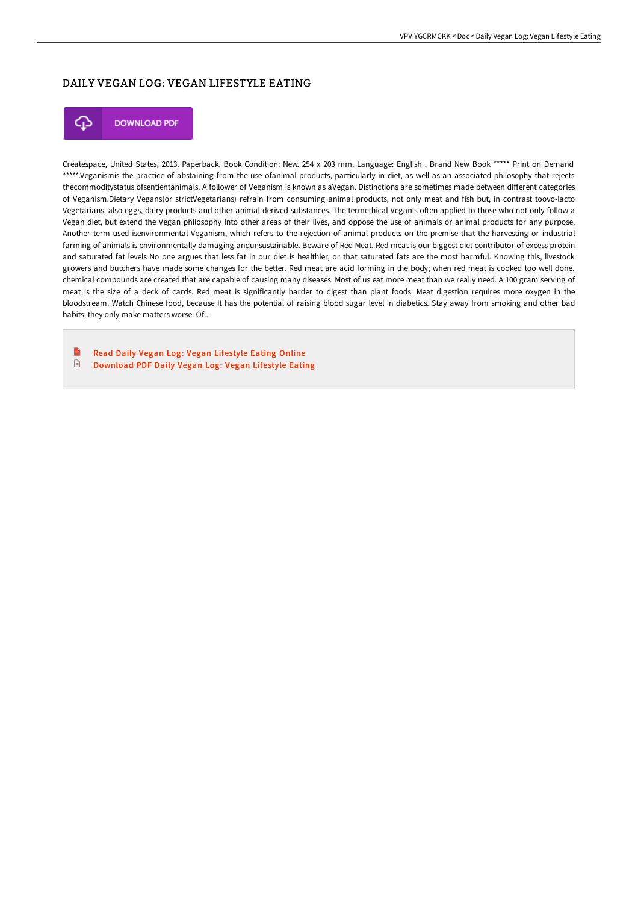## DAILY VEGAN LOG: VEGAN LIFESTYLE EATING



**DOWNLOAD PDF** 

Createspace, United States, 2013. Paperback. Book Condition: New. 254 x 203 mm. Language: English . Brand New Book \*\*\*\*\* Print on Demand \*\*\*\*\*.Veganismis the practice of abstaining from the use ofanimal products, particularly in diet, as well as an associated philosophy that rejects thecommoditystatus ofsentientanimals. A follower of Veganism is known as aVegan. Distinctions are sometimes made between different categories of Veganism.Dietary Vegans(or strictVegetarians) refrain from consuming animal products, not only meat and fish but, in contrast toovo-lacto Vegetarians, also eggs, dairy products and other animal-derived substances. The termethical Veganis oFen applied to those who not only follow a Vegan diet, but extend the Vegan philosophy into other areas of their lives, and oppose the use of animals or animal products for any purpose. Another term used isenvironmental Veganism, which refers to the rejection of animal products on the premise that the harvesting or industrial farming of animals is environmentally damaging andunsustainable. Beware of Red Meat. Red meat is our biggest diet contributor of excess protein and saturated fat levels No one argues that less fat in our diet is healthier, or that saturated fats are the most harmful. Knowing this, livestock growers and butchers have made some changes for the better. Red meat are acid forming in the body; when red meat is cooked too well done, chemical compounds are created that are capable of causing many diseases. Most of us eat more meat than we really need. A 100 gram serving of meat is the size of a deck of cards. Red meat is significantly harder to digest than plant foods. Meat digestion requires more oxygen in the bloodstream. Watch Chinese food, because It has the potential of raising blood sugar level in diabetics. Stay away from smoking and other bad habits; they only make matters worse. Of...

B Read Daily Vegan Log: Vegan [Lifestyle](http://albedo.media/daily-vegan-log-vegan-lifestyle-eating-paperback.html) Eating Online  $\begin{array}{c} \hline \end{array}$ [Download](http://albedo.media/daily-vegan-log-vegan-lifestyle-eating-paperback.html) PDF Daily Vegan Log: Vegan Lifestyle Eating